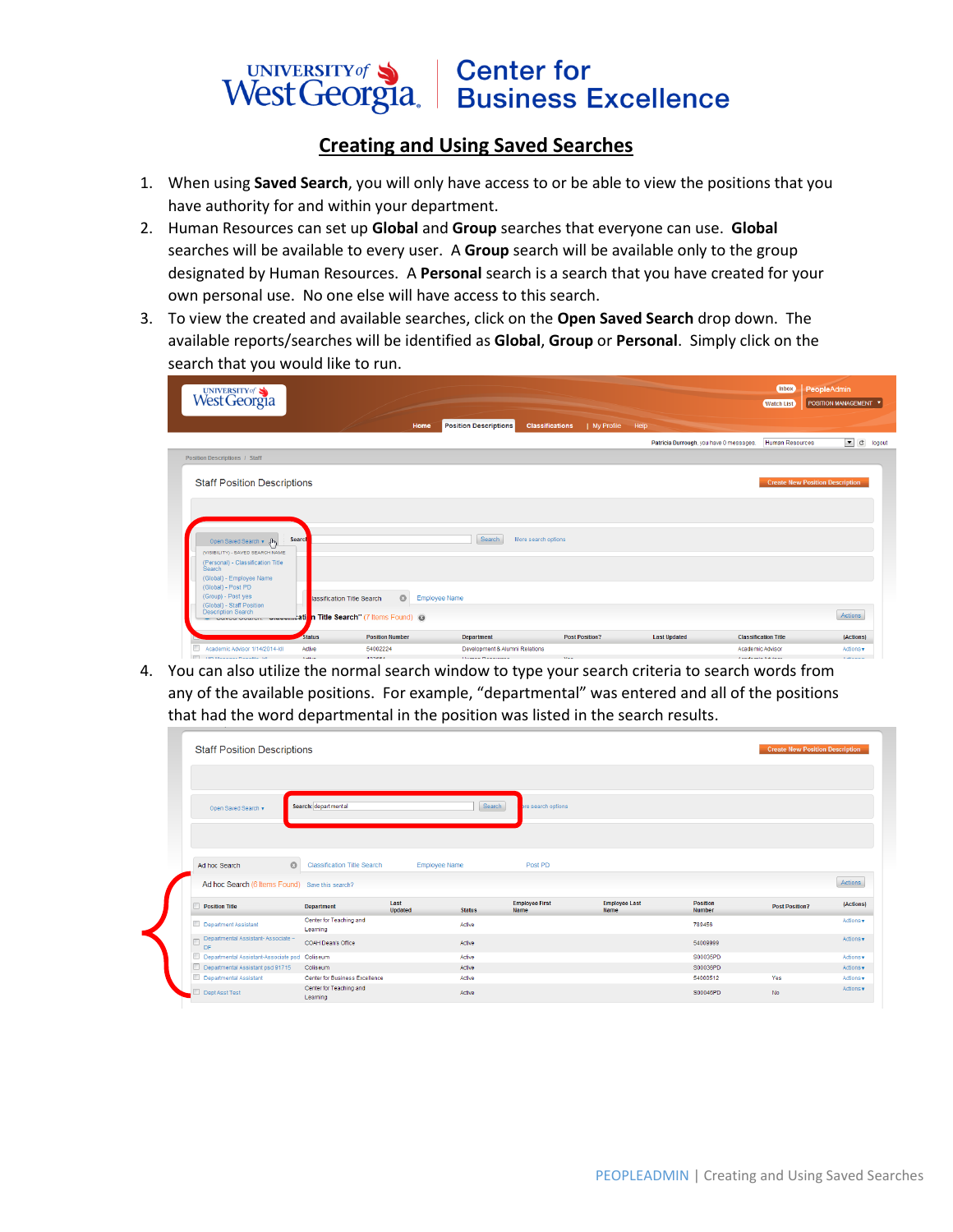## UNIVERSITY of Sand Center for<br>West Georgia. Business Excellence

## **Creating and Using Saved Searches**

- 1. When using **Saved Search**, you will only have access to or be able to view the positions that you have authority for and within your department.
- 2. Human Resources can set up **Global** and **Group** searches that everyone can use. **Global** searches will be available to every user. A **Group** search will be available only to the group designated by Human Resources. A **Personal** search is a search that you have created for your own personal use. No one else will have access to this search.
- 3. To view the created and available searches, click on the **Open Saved Search** drop down. The available reports/searches will be identified as **Global**, **Group** or **Personal**. Simply click on the search that you would like to run.

| UNIVERSITY of S                                                                               |                         |                                                                                                             |                                                     |                                        |                                         | Inbox<br><b>Watch List</b>                      | PeopleAdmin<br>POSITION MANAGEMENT V |
|-----------------------------------------------------------------------------------------------|-------------------------|-------------------------------------------------------------------------------------------------------------|-----------------------------------------------------|----------------------------------------|-----------------------------------------|-------------------------------------------------|--------------------------------------|
|                                                                                               |                         | Home                                                                                                        | <b>Position Descriptions</b>                        | <b>Classifications</b><br>  My Profile | Help                                    |                                                 |                                      |
|                                                                                               |                         |                                                                                                             |                                                     |                                        | Patricia Durrough, you have 0 messages. | <b>Human Resources</b>                          | $\bullet$ c logout                   |
| <b>Position Descriptions / Staff</b>                                                          |                         |                                                                                                             |                                                     |                                        |                                         |                                                 |                                      |
| <b>Staff Position Descriptions</b>                                                            |                         |                                                                                                             |                                                     |                                        |                                         | <b>Create New Position Description</b>          |                                      |
|                                                                                               |                         |                                                                                                             |                                                     |                                        |                                         |                                                 |                                      |
| Open Saved Search + $\int_{\mathbb{T}} h_1$<br>(VISIBILITY) - SAVED SEARCH NAME               | Search                  |                                                                                                             | Search                                              | More search options                    |                                         |                                                 |                                      |
| (Personal) - Classification Title<br>Search<br>(Global) - Employee Name<br>(Global) - Post PD |                         |                                                                                                             |                                                     |                                        |                                         |                                                 |                                      |
| (Group) - Post yes<br>(Global) - Staff Position<br><b>Description Search</b>                  |                         | $\circ$<br>lassification Title Search<br>Concursion Charles Communication n Title Search" (7 Items Found) @ | <b>Employee Name</b>                                |                                        |                                         |                                                 | Actions                              |
| Academic Advisor 1/14/2014-kll                                                                | <b>Status</b><br>Active | <b>Position Number</b><br>54002224                                                                          | <b>Department</b><br>Development & Alumni Relations | <b>Post Position?</b>                  | <b>Last Updated</b>                     | <b>Classification Title</b><br>Academic Advisor | (Actions)<br>Actions v               |

4. You can also utilize the normal search window to type your search criteria to search words from any of the available positions. For example, "departmental" was entered and all of the positions that had the word departmental in the position was listed in the search results.

|              | Open Saved Search v                                                      | Search: departmental                |                      | Search                  | pre search options    |                      |                         |                       |                                                                          |
|--------------|--------------------------------------------------------------------------|-------------------------------------|----------------------|-------------------------|-----------------------|----------------------|-------------------------|-----------------------|--------------------------------------------------------------------------|
|              | $\circ$<br>Ad hoc Search                                                 | <b>Classification Title Search</b>  | <b>Employee Name</b> |                         | Post PD               |                      |                         |                       |                                                                          |
|              |                                                                          |                                     |                      |                         |                       |                      |                         |                       |                                                                          |
|              | Ad hoc Search (6 Items Found) Save this search?<br><b>Position Title</b> | <b>Department</b>                   | Last                 |                         | <b>Employee First</b> | <b>Employee Last</b> | <b>Position</b>         | <b>Post Position?</b> |                                                                          |
|              | Department Assistant                                                     | Center for Teaching and<br>Learning | Updated              | <b>Status</b><br>Active | Name                  | <b>Name</b>          | <b>Number</b><br>789456 |                       |                                                                          |
| $\mathbb{P}$ | Departmental Assistant-Associate ~<br>DF                                 | COAH Dean's Office                  |                      | Active                  |                       |                      | 54009999                |                       |                                                                          |
|              | Departmental Assistant-Associate psd Collseum                            |                                     |                      | Active                  |                       |                      | S00035PD                |                       |                                                                          |
|              | Departmental Assistant psd 91715                                         | Coliseum                            |                      | Active                  |                       |                      | S00036PD                |                       | Actions<br>(Actions)<br>Actions v<br>Actions v<br>Actions v<br>Actions v |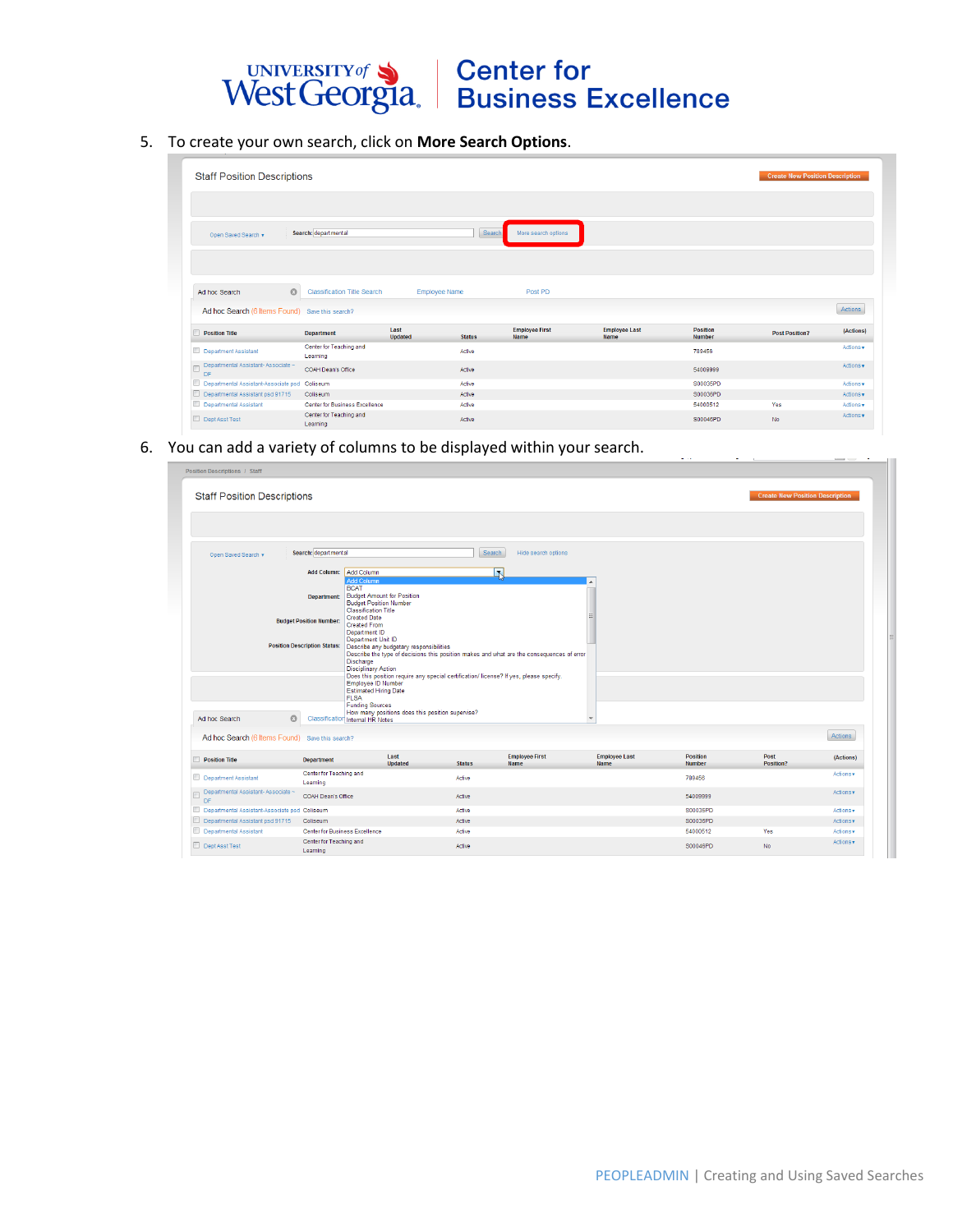## UNIVERSITY of Sand Center for<br>West Georgia. Business Excellence

5. To create your own search, click on **More Search Options**.

| <b>Staff Position Descriptions</b>              |                                     |                        |               |                                      |                              |                                  | <b>Create New Position Description</b> |           |
|-------------------------------------------------|-------------------------------------|------------------------|---------------|--------------------------------------|------------------------------|----------------------------------|----------------------------------------|-----------|
| Open Saved Search v                             | Search: departmental                |                        | Search        | More search options                  |                              |                                  |                                        |           |
| $\odot$<br>Ad hoc Search                        | <b>Classification Title Search</b>  | <b>Employee Name</b>   |               | Post PD                              |                              |                                  |                                        |           |
| Ad hoc Search (6 Items Found) Save this search? |                                     |                        |               |                                      |                              |                                  |                                        | Actions   |
| <b>Position Title</b>                           | <b>Department</b>                   | Last<br><b>Updated</b> | <b>Status</b> | <b>Employee First</b><br><b>Name</b> | <b>Employee Last</b><br>Name | <b>Position</b><br><b>Number</b> | <b>Post Position?</b>                  | (Actions) |
| Department Assistant                            | Center for Teaching and<br>Learning |                        | Active        |                                      |                              | 789456                           |                                        | Actions v |
| Departmental Assistant-Associate ~<br>E<br>DF   | COAH Dean's Office                  |                        | Active        |                                      |                              | 54009999                         |                                        | Actions v |
| Departmental Assistant-Associate psd Collseum   |                                     |                        | Active        |                                      |                              | S00035PD                         |                                        | Actions v |
| Departmental Assistant psd 91715                | Coliseum                            |                        | Active        |                                      |                              | S00036PD                         |                                        | Actions v |
| Departmental Assistant                          | Center for Business Excellence      |                        | Active        |                                      |                              | 54000512                         | Yes                                    | Actions v |
| Dept Asst Test                                  | Center for Teaching and<br>Learning |                        | Active        |                                      |                              | S00046PD                         | No.                                    | Actions v |

6. You can add a variety of columns to be displayed within your search.

| <b>Staff Position Descriptions</b>              |                                                                                                                                                                                                                                    |                                                                                                                                                                                                                                                                                                                                      |               |                                                                                                                                                                                     |                                     |                                  | <b>Create New Position Description</b> |           |
|-------------------------------------------------|------------------------------------------------------------------------------------------------------------------------------------------------------------------------------------------------------------------------------------|--------------------------------------------------------------------------------------------------------------------------------------------------------------------------------------------------------------------------------------------------------------------------------------------------------------------------------------|---------------|-------------------------------------------------------------------------------------------------------------------------------------------------------------------------------------|-------------------------------------|----------------------------------|----------------------------------------|-----------|
| Open Saved Search v                             | Search: departmental                                                                                                                                                                                                               |                                                                                                                                                                                                                                                                                                                                      | Search        | Hide search options                                                                                                                                                                 |                                     |                                  |                                        |           |
|                                                 | Add Column: Add Column<br><b>Add Column</b>                                                                                                                                                                                        |                                                                                                                                                                                                                                                                                                                                      |               | N                                                                                                                                                                                   |                                     |                                  |                                        |           |
| $\circ$<br>Ad hoc Search                        | <b>BCAT</b><br>Department:<br><b>Created Date</b><br><b>Budget Position Number:</b><br><b>Created From</b><br>Department ID<br><b>Position Description Status:</b><br>Discharge<br><b>FLSA</b><br>Classification Internal HR Notes | <b>Budget Amount for Position</b><br><b>Budget Position Number</b><br><b>Classification Title</b><br>Department Unit ID<br>Describe any budgetary responsibilities<br><b>Disciplinary Action</b><br>Employee ID Number<br><b>Estimated Hiring Date</b><br><b>Funding Sources</b><br>How many positions does this position supervise? |               | Describe the type of decisions this position makes and what are the consequences of error<br>Does this position require any special certification/ license? If yes, please specify. | $\overline{\phantom{a}}$            |                                  |                                        |           |
| Ad hoc Search (6 Items Found) Save this search? |                                                                                                                                                                                                                                    |                                                                                                                                                                                                                                                                                                                                      |               |                                                                                                                                                                                     |                                     |                                  |                                        | Actions   |
| <b>Position Title</b>                           | <b>Department</b>                                                                                                                                                                                                                  | Last<br><b>Updated</b>                                                                                                                                                                                                                                                                                                               | <b>Status</b> | <b>Employee First</b><br><b>Name</b>                                                                                                                                                | <b>Employee Last</b><br><b>Name</b> | <b>Position</b><br><b>Number</b> | Post<br>Position?                      | (Actions) |
| Department Assistant                            | Center for Teaching and<br>Learning                                                                                                                                                                                                |                                                                                                                                                                                                                                                                                                                                      | Active        |                                                                                                                                                                                     |                                     | 789456                           |                                        | Actions v |
| Departmental Assistant-Associate ~<br>DF        | COAH Dean's Office                                                                                                                                                                                                                 |                                                                                                                                                                                                                                                                                                                                      | Active        |                                                                                                                                                                                     |                                     | 54009999                         |                                        | Actions v |
| Departmental Assistant-Associate psd Coliseum   |                                                                                                                                                                                                                                    |                                                                                                                                                                                                                                                                                                                                      | Active        |                                                                                                                                                                                     |                                     | S00035PD                         |                                        | Actions v |
| Departmental Assistant psd 91715                | Coliseum                                                                                                                                                                                                                           |                                                                                                                                                                                                                                                                                                                                      | Active        |                                                                                                                                                                                     |                                     | S00036PD                         |                                        | Actions v |
| Departmental Assistant                          | Center for Business Excellence                                                                                                                                                                                                     |                                                                                                                                                                                                                                                                                                                                      | Active        |                                                                                                                                                                                     |                                     | 54000512                         | Yes                                    | Actions v |
|                                                 | Center for Teaching and                                                                                                                                                                                                            |                                                                                                                                                                                                                                                                                                                                      |               |                                                                                                                                                                                     |                                     |                                  |                                        | Actions v |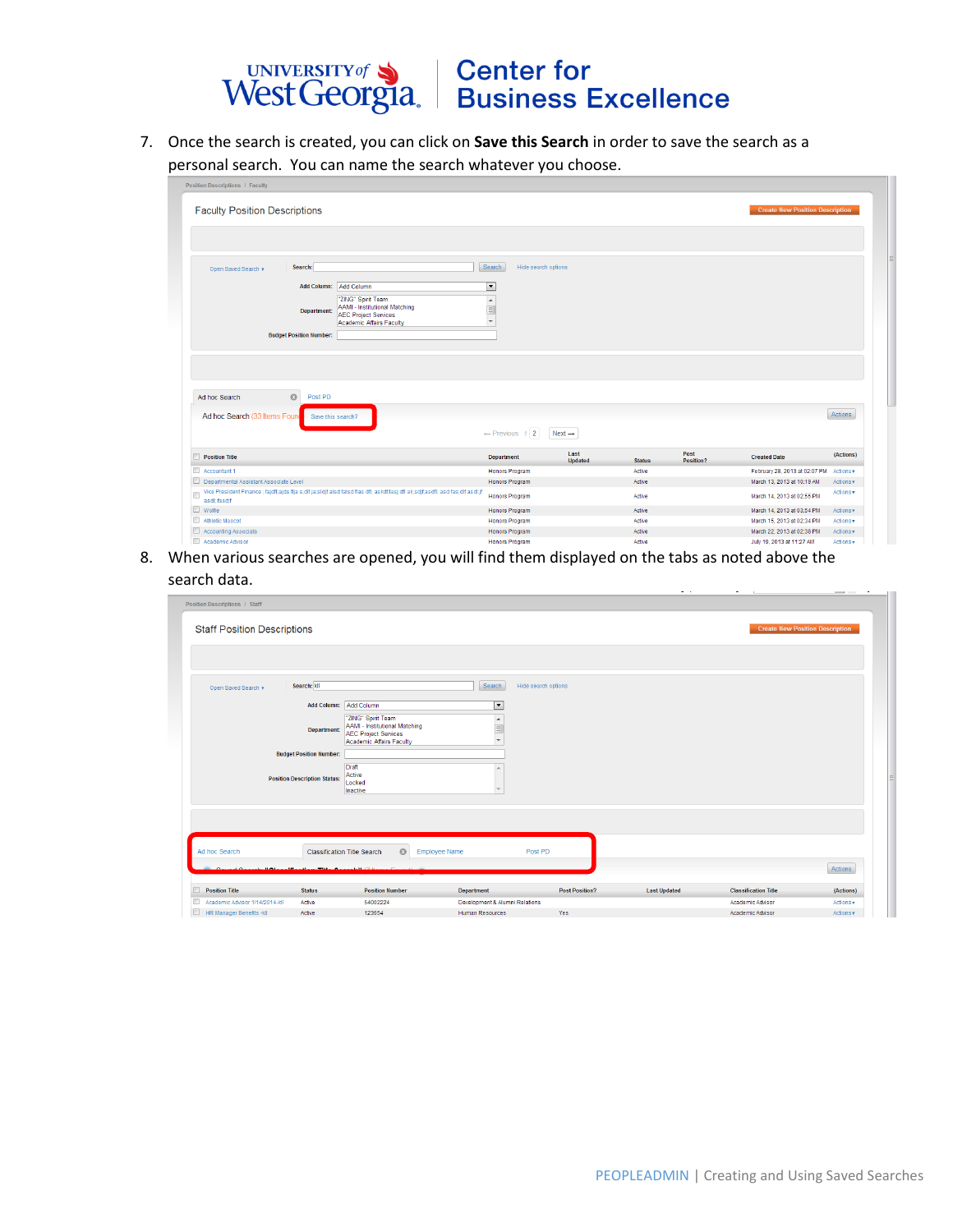

7. Once the search is created, you can click on **Save this Search** in order to save the search as a personal search. You can name the search whatever you choose.

| <b>Faculty Position Descriptions</b>                                                                                                           |                                         |                    |                  |                   | <b>Create New Position Description</b>                  |                        |
|------------------------------------------------------------------------------------------------------------------------------------------------|-----------------------------------------|--------------------|------------------|-------------------|---------------------------------------------------------|------------------------|
|                                                                                                                                                |                                         |                    |                  |                   |                                                         |                        |
|                                                                                                                                                |                                         |                    |                  |                   |                                                         |                        |
| Search:<br>Open Saved Search v                                                                                                                 | Search<br>Hide search options           |                    |                  |                   |                                                         |                        |
| Add Column: Add Column                                                                                                                         | $\overline{\phantom{0}}$                |                    |                  |                   |                                                         |                        |
| "ZING" Spirit Team                                                                                                                             |                                         |                    |                  |                   |                                                         |                        |
| <b>AAMI - Institutional Matching</b><br>Department:<br><b>AEC Project Services</b>                                                             | $\frac{1}{\sqrt{2}}$                    |                    |                  |                   |                                                         |                        |
| Academic Affairs Faculty                                                                                                                       |                                         |                    |                  |                   |                                                         |                        |
| <b>Budget Position Number:</b>                                                                                                                 |                                         |                    |                  |                   |                                                         |                        |
|                                                                                                                                                |                                         |                    |                  |                   |                                                         |                        |
|                                                                                                                                                |                                         |                    |                  |                   |                                                         |                        |
|                                                                                                                                                |                                         |                    |                  |                   |                                                         |                        |
|                                                                                                                                                |                                         |                    |                  |                   |                                                         |                        |
|                                                                                                                                                |                                         |                    |                  |                   |                                                         |                        |
| $\odot$<br>Post PD<br>Ad hoc Search                                                                                                            |                                         |                    |                  |                   |                                                         |                        |
|                                                                                                                                                |                                         |                    |                  |                   |                                                         | Actions                |
| Ad hoc Search (33 Items Found<br>Save this search?                                                                                             |                                         |                    |                  |                   |                                                         |                        |
|                                                                                                                                                | $\leftarrow$ Previous 1 2               | $Next \rightarrow$ |                  |                   |                                                         |                        |
|                                                                                                                                                | <b>Department</b>                       | Last<br>Updated    | <b>Status</b>    | Post<br>Position? | <b>Created Date</b>                                     | (Actions)              |
|                                                                                                                                                | Honors Program                          |                    | Active           |                   | February 28, 2013 at 02:07 PM                           | Actions v              |
|                                                                                                                                                | <b>Honors Program</b>                   |                    | Active           |                   | March 13, 2013 at 10:19 AM                              | Actions v              |
| Vice President Finance ; fajdf(ajds flja s;dlf ja;sldjf alsd falsd flas dfl; askdf,lasj dfl ak;sdjf,asdfl; asd fas;dlf asdl;jf<br>asdl; fasd;f | <b>Honors Program</b>                   |                    | Active           |                   | March 14, 2013 at 02:55 PM                              | Actions v              |
| Position Title<br>Accountant 1<br>Departmental Assistant Associate Level<br>$\Box$<br>$\Box$ Wolfie                                            | Honors Program                          |                    | Active           |                   | March 14, 2013 at 03:54 PM                              | Actions v              |
|                                                                                                                                                | <b>Honors Program</b>                   |                    | Active           |                   | March 15, 2013 at 02:34 PM                              | Actions v              |
| Athletic Mascot<br>Accounting Associate<br>Academic Advisor                                                                                    | Honors Program<br><b>Honore Program</b> |                    | Active<br>Active |                   | March 22, 2013 at 02:38 PM<br>July 10, 2013 of 11:27 AM | Actions v<br>Actions - |

8. When various searches are opened, you will find them displayed on the tabs as noted above the search data.

| Position Descriptions / Staff       |                                     |                                                                                                                       |                                                                                        |                       |                     |                             |                                        |
|-------------------------------------|-------------------------------------|-----------------------------------------------------------------------------------------------------------------------|----------------------------------------------------------------------------------------|-----------------------|---------------------|-----------------------------|----------------------------------------|
| <b>Staff Position Descriptions</b>  |                                     |                                                                                                                       |                                                                                        |                       |                     |                             | <b>Create New Position Description</b> |
|                                     |                                     |                                                                                                                       |                                                                                        |                       |                     |                             |                                        |
| Open Saved Search v                 | Search: kll                         |                                                                                                                       | Search                                                                                 | Hide search options   |                     |                             |                                        |
|                                     | Add Column: Add Column              |                                                                                                                       | ▼                                                                                      |                       |                     |                             |                                        |
|                                     | <b>Department:</b>                  | "ZING" Spirit Team<br><b>AAMI - Institutional Matching</b><br><b>AEC Project Services</b><br>Academic Affairs Faculty | $\begin{array}{c}\n\bullet \\ \hline\n\equiv\n\end{array}$<br>$\overline{\phantom{a}}$ |                       |                     |                             |                                        |
|                                     | <b>Budget Position Number:</b>      |                                                                                                                       |                                                                                        |                       |                     |                             |                                        |
|                                     | <b>Position Description Status:</b> | Draft<br>Active<br>Locked<br>Inactive                                                                                 |                                                                                        |                       |                     |                             |                                        |
|                                     |                                     |                                                                                                                       |                                                                                        |                       |                     |                             |                                        |
| Ad hoc Search                       |                                     | $\circ$<br><b>Classification Title Search</b>                                                                         | <b>Employee Name</b>                                                                   | Post PD               |                     |                             |                                        |
| 11.031                              |                                     |                                                                                                                       |                                                                                        |                       |                     |                             | Actions                                |
| <b>Position Title</b>               | <b>Status</b>                       | <b>Position Number</b>                                                                                                | <b>Department</b>                                                                      | <b>Post Position?</b> | <b>Last Updated</b> | <b>Classification Title</b> | (Actions)                              |
| □<br>Academic Advisor 1/14/2014-kll | Active                              | 54002224                                                                                                              | Development & Alumni Relations                                                         |                       |                     | Academic Advisor            | Actions v                              |
| $\Box$<br>HR Manager Benefits -kll  | Active                              | 123654                                                                                                                | Human Resources                                                                        |                       |                     |                             |                                        |